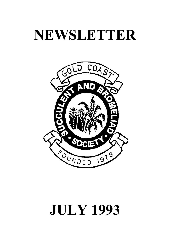## **NEWSLETTER**



# **JULY 1993**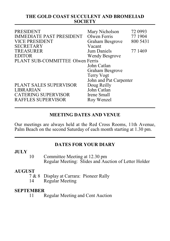#### **THE GOLD COAST SUCCULENT AND BROMELIAD SOCIETY**

| <b>PRESIDENT</b><br><b>IMMEDIATE PAST PRESIDENT</b><br><b>VICE PRESIDENT</b><br><b>SECRETARY</b> | Mary Nicholson<br>Olwen Ferris<br>Graham Besgrove<br>Vacant | 72 0993<br>77 1904<br>800 5431 |
|--------------------------------------------------------------------------------------------------|-------------------------------------------------------------|--------------------------------|
| <b>TREASURER</b>                                                                                 | Jum Daniels                                                 | 77 1469                        |
| <b>EDITOR</b>                                                                                    | Wendy Besgrove                                              |                                |
| PLANT SUB-COMMITTEE Olwen Ferris                                                                 |                                                             |                                |
|                                                                                                  | John Catlan                                                 |                                |
|                                                                                                  | Graham Besgrove                                             |                                |
|                                                                                                  | Terry Vogt                                                  |                                |
|                                                                                                  | John and Pat Carpenter                                      |                                |
| PLANT SALES SUPERVISOR                                                                           | Doug Reilly                                                 |                                |
| <b>LIBRARIAN</b>                                                                                 | John Catlan                                                 |                                |
| <b>CATERING SUPERVISOR</b>                                                                       | Irene Small                                                 |                                |
| RAFFLES SUPERVISOR                                                                               | Roy Wenzel                                                  |                                |
|                                                                                                  |                                                             |                                |

#### **MEETING DATES AND VENUE**

Our meetings are always held at the Red Cross Rooms, 11th Avenue, Palm Beach on the second Saturday of each month starting at 1.30 pm.

#### **DATES FOR YOUR DIARY**

#### **JULY**

10 Committee Meeting at 12.30 pm Regular Meeting: Slides and Auction of Letter Holder

## $\begin{array}{c}\n\textbf{AUGUST} \\
7 & 8\n\end{array}$

- 7 & 8 Display at Carrara: Pioneer Rally<br>14 Regular Meeting
- Regular Meeting

## **SEPTEMBER**

Regular Meeting and Cent Auction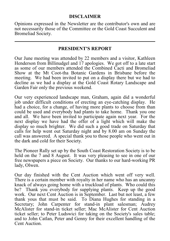#### **DISCLAIMER**

Opinions expressed in the Newsletter are the contributor's own and are not necessarily those of the Committee or the Gold Coast Succulent and Bromeliad Society.

#### **PRESIDENT'S REPORT**

Our June meeting was attended by 22 members and a visitor, Kathleen Henderson from Billinudgel and 17 apologies. We got off to a late start as some of our members attended the Combined Cacti and Bromeliad Show at the Mt Coot-tha Botanic Gardens in Brisbane before the meeting. We had been invited to put on a display there but we had to decline as we had a display at the Gold Coast Rotary Landscape and Garden Fair only the previous weekend.

Our very experienced landscape man, Graham, again did a wonderful job under difficult conditions of erecting an eye-catching display. He had a choice, for a change, of having more plants to choose from than could be used and everybody had plants to take home. Thank you one and all. We have been invited to participate again next year. For the next display we have had the offer of a light which will make the display so much brighter. We did such a good trade on Saturday that calls for help went out Saturday night and by 8.00 am on Sunday the call was answered. A special thank you to those people who went out in the dark and cold for their Society.

The Pioneer Rally set up by the South Coast Restoration Society is to be held on the 7 and 8 August. It was very pleasing to see in one of our free newspapers a piece on Society. Our thanks to our hard-working PR lady, Olwen.

Our day finished with the Cent Auction which went off very well. There is a certain member with royalty in her name who has an uncanny knack of always going home with a truckload of plants. Who could this be? Thank you everybody for supplying plants. Keep up the good work. Our next Cent Auction is in September. Last but not least, a few thank yous that must be said. To Diana Hughes for standing in a Secretary; John Carpenter for stand-in plant salesman; Audrey McAlister for stand-in ticket seller; Mac McAlister for Cent Auction ticket seller; to Peter Ludswici for taking on the Society's sales table; and to John Catlan, Peter and Genny for their excellent handling of the Cent Auction.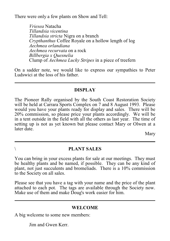There were only a few plants on Show and Tell:

*Vriesea* Natacha *Tillandsia vicentina Tillandsia stricta* Nigra on a branch *Crypthanthus* Coffee Royale on a hollow length of log *Aechmea orlandiana Aechmea recurvata* on a rock *Billbergia x Quesnelia* Clump of *Aechmea Lucky Stripes* in a piece of treefern

On a sadder note, we would like to express our sympathies to Peter Ludswici at the loss of his father.

#### **DISPLAY**

The Pioneer Rally organised by the South Coast Restoration Society will be held at Carrara Sports Complex on 7 and 8 August 1993. Please would you have your plants ready for display and sales. There will be 20% commission, so please price your plants accordingly. We will be in a tent outside in the field with all the others as last year. The time of setting up is not as yet known but please contact Mary or Olwen at a later date.

Mary

#### \ **PLANT SALES**

You can bring in your excess plants for sale at our meetings. They must be healthy plants and be named, if possible. They can be any kind of plant, not just succulents and bromeliads. There is a 10% commission to the Society on all sales.

Please see that you have a tag with your name and the price of the plant attached to each pot. The tags are available through the Society now. Make use of them and make Doug's work easier for him.

#### **WELCOME**

A big welcome to some new members:

Jim and Gwen Kerr.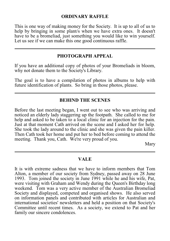#### **ORDINARY RAFFLE**

This is one way of making money for the Society. It is up to all of us to help by bringing in some plant/s when we have extra ones. It doesn't have to be a bromeliad, just something you would like to win yourself. Let us see if we can make this one good continuous raffle.

#### **PHOTOGRAPH APPEAL**

If you have an additional copy of photos of your Bromeliads in bloom, why not donate them to the Society's Library.

The goal is to have a compilation of photos in albums to help with future identification of plants. So bring in those photos, please.

#### **BEHIND THE SCENES**

Before the last meeting began, I went out to see who was arriving and noticed an elderly lady staggering up the footpath. She called to me for help and asked to be taken to a local clinic for an injection for the pain. Just at that moment Cath arrived on the scene and I asked her for help. She took the lady around to the clinic and she was given the pain killer. Then Cath took her home and put her to bed before coming to attend the meeting. Thank you, Cath. We're very proud of you.

Mary

#### **VALE**

It is with extreme sadness that we have to inform members that Tom Alton, a member of our society from Sydney, passed away on 28 June 1993. Tom joined the society in June 1991 while he and his wife, Pat, were visiting with Graham and Wendy during the Queen's Birthday long weekend. Tom was a very active member of the Australian Bromeliad Society and displayed, competed and organised shows. He also served on information panels and contributed with articles for Australian and international societies' newsletters and held a position on that Society's Committee until recent times. As a society, we extend to Pat and her family our sincere condolences.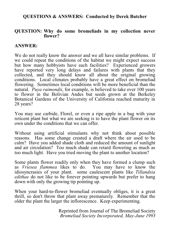#### **QUESTIONS & ANSWERS: Conducted by Derek Butcher**

#### **QUESTION: Why do some bromeliads in my collection never flower?**

#### **ANSWER:**

We do not really know the answer and we all have similar problems. If we could repeat the conditions of the habitat we might expect success but how many hobbyists have such facilities? Experienced growers have reported very long delays and failures with plants that they collected, and they should know all about the original growing conditions. Local climates probably have a great effect on bromeliad flowering. Sometimes local conditions will be more beneficial than the natural. *Puya raimondii*, for example, is believed to take over 100 years to flower in the Bolivian Andes but seeds grown at the Berkeley Botanical Gardens of the University of California reached maturity in 28 years?

You may use carbide, Florel, or even a ripe apple in a bag with your reticent plant but what we are seeking is to have the plant flower on its own under the conditions that we can offer.

Without using artificial stimulants why not think about possible reasons. Has some change created a draft where the air used to be calm? Have you added shade cloth and reduced the amount of sunlight and air circulation? Too much shade can retard flowering as much as too much light. Have you tried moving the plant to another location?

Some plants flower readily only when they have formed a clump such as *Vriesea flammea* likes to do. You may have to know the idiosyncrasies of your plant. some caulescent plants like *Tillandsia edithae* do not like to be forever pointing upwards but prefer to hang down with only the growing tip pointing up.

When your hard-to-flower bromeliad eventually obliges, it is a great thrill, so don't throw that plant away prematurely. Remember that the older the plant the larger the inflorescence. Keep experimenting.

> Reprinted from Journal of The Bromeliad Society *Bromeliad Society Incorporated, May-June 1993*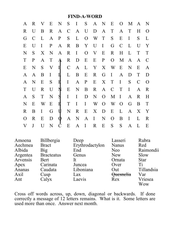#### **FIND-A-WORD**

| A             |               | R V               |                  |                |       |              |              | ENSISANEOMAN        |                |                |              |               |               |
|---------------|---------------|-------------------|------------------|----------------|-------|--------------|--------------|---------------------|----------------|----------------|--------------|---------------|---------------|
| $\mathbf R$   | U             | B                 | $\mathbf{R}$     |                |       |              |              | A C A U D A T A T   |                |                |              | H             | $\Omega$      |
| G             | $\mathcal{C}$ | L                 | $\mathbf{A}$     | $\mathbf{P}$   |       |              |              | S L O W T           | S              | E              | $\mathbf{I}$ | S             | L             |
| E             | U             | $\mathbf I$       | $\mathbf{P}$     | A              |       |              |              | R B Y U I           | G C            |                | $\mathbf{L}$ | $\mathbf U$   | Y             |
| N             | S             | $X_{\mathcal{C}}$ | N                | A              |       |              |              | R I O V E           | $\mathbf R$    | H              | L            | T             | T             |
| T             | $\mathbf{P}$  | $\mathbf{A}$      |                  | T A R          |       |              |              | D E E P             | $\overline{O}$ | M              | A            | $\mathbf{A}$  | $\mathcal{C}$ |
| E             | N             | S                 |                  |                |       |              |              | V I C A L Y X W     |                | E              | N            | E             | $\mathbf{A}$  |
| A             | A             | B                 |                  | $I \cup L$     |       | $\mathbf{B}$ |              | E R G I             |                | $\mathbf{A}$   | D            | T             | D             |
| A             | N             | E                 | S                |                |       |              |              | EI A P E X T        |                | $\mathbf{I}$   | S            | $\mathcal{C}$ | $\Omega$      |
| T             | U             | $\mathbb{R}$      | U                |                |       | N E N        | $\mathbf{B}$ |                     | R A C T        |                | $\mathbf{I}$ | $\mathbf{A}$  | $\mathbf R$   |
| A             | S             | T                 | N                | $\overline{S}$ | $I-I$ |              | D            |                     | N O M I        |                | $\mathbf{A}$ | R             | H             |
| N             | E             | W                 | $E$ $\mathbf{E}$ |                | $T-I$ |              |              | I W O               | W              | $\overline{O}$ | G            | B             | $\mathbf T$   |
| R             | B             | $\mathbf I$       |                  | $G$ U          |       |              |              | N R E X D E         |                | $\mathbf{L}$   | $\mathbf{A}$ | X             | $\mathbf Y$   |
| $\mathcal{O}$ | $\mathbf R$   | E                 | D                |                |       |              |              | $\oint A N A I N O$ |                | $\mathbf{B}$   | $\mathbf{I}$ | $\mathbf{L}$  | $\mathbf R$   |
| V             | $\mathbf{J}$  | U                 | N                | $\mathcal{C}$  | E     |              | $A$ I        | $\mathbf{R}$        | $E$ S          | S              | $\mathbf{A}$ | L             | E             |

| Amoena   | Billbergia        | Deep            | Lasseri      | Rubra       |
|----------|-------------------|-----------------|--------------|-------------|
| Aechmea  | <b>Bract</b>      | Erythrodactylon | <b>Nanus</b> | Red         |
| Albida   | Big               | End             | Neo          | Raimondii   |
| Argentea | <b>Bracteatus</b> | Genus           | <b>New</b>   | Slow        |
| Arvensis | Bert              | It.             | Ornata       | <b>Star</b> |
| Apex     | Carinata          | Juncea          | Over         | Ti          |
| Ananas   | Caudata           | Liboniana       | Out          | Tillandsia  |
| Axil     | Cusp              | Lax             | Quesnelia    | Var         |
| Ant      | Calyx             | Laevis          | Rex          | Vriesea     |
|          |                   |                 |              | Wow         |

Cross off words across, up, down, diagonal or backwards. If done correctly a message of 12 letters remains. What is it. Some letters are used more than once. Answer next month.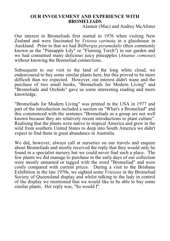#### **OUR INVOLVEMENT AND EXPERIENCE WITH BROMELIADS**

Alastair (Mac) and Audrey McAlister

Our interest in Bromeliads first started in 1976 when visiting New Zealand and were fascinated by *Vriesea carinata* in a glasshouse in Auckland. Prior to that we had *Billbergia pyramidalis* (then commonly known as the "Pineapple Lily" or "Flaming Torch") in our garden and we had consumed many delicious juicy pineapples (*Ananus comosus*) without knowing the Bromeliad connections.

Subsequent to our visit to the land of the long white cloud, we endeavoured to buy some similar plants here, but this proved to be more difficult than we expected. However, out interest didn't wane and the purchase of two small books, "Bromeliads for Modern Living" and "Bromeliads and Orchids" gave us some interesting reading and more knowledge.

"Bromeliads for Modern Living" was printed in the USA in 1977 and part of the introduction included a section on "What's a Bromeliad" and this commenced with the sentence "Bromeliads as a group are not well known because they are relatively recent introductions to plant culture". Realising that the plants were native to tropical America and grew in the wild from southern United States to deep into South America we didn't expect to find them in great abundance in Australia.

We did, however, always call at nurseries on our travels and enquire about Bromeliads and mostly received the reply that they would only be found in a specialist nursery but we could never find such a place. The few plants we did manage to purchase in the early days of our collection were mostly unnamed or tagged with the word "Bromeliad" and were costly compared with current prices. During a visit to the Brisbane Exhibition in the late 1970s, we sighted some *Vrieseas* in the Bromeliad Society of Queensland display and whilst talking to the lady in control of the display we mentioned that we would like to be able to buy some similar plants. Her reply was, "So would I".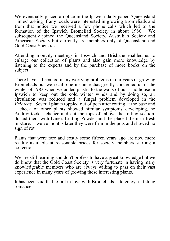We eventually placed a notice in the Ipswich daily paper "Queensland Times" asking if any locals were interested in growing Bromeliads and from that notice we received a few phone calls which led to the formation of the Ipswich Bromeliad Society in about 1980. We subsequently joined the Queensland Society, Australian Society and American Society but currently are members only of Queensland and Gold Coast Societies.

Attending monthly meetings in Ipswich and Brisbane enabled us to enlarge our collection of plants and also gain more knowledge by listening to the experts and by the purchase of more books on the subject.

There haven't been too many worrying problems in our years of growing Bromeliads but we recall one instance that greatly concerned us in the winter of 1983 when we added plastic to the walls of our shad house in Ipswich to keep out the cold winter winds and by doing so, air circulation was reduced and a fungal problem developed in the *Vrieseas*. Several plants toppled out of pots after rotting at the base and a check of other plants showed similar symptoms developing, so Audrey took a chance and cut the tops off above the rotting section, dusted them with Lane's Cutting Powder and the placed them in fresh mixture. Twelve months later they were firm in the pots and showed no sign of rot.

Plants that were rare and costly some fifteen years ago are now more readily available at reasonable prices for society members starting a collection.

We are still learning and don't profess to have a great knowledge but we do know that the Gold Coast Society is very fortunate in having many knowledgeable members who are always willing to pass on their vast experience in many years of growing these interesting plants.

It has been said that to fall in love with Bromeliads is to enjoy a lifelong romance.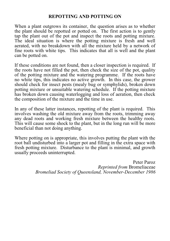#### **REPOTTING AND POTTING ON**

When a plant outgrows its container, the question arises as to whether the plant should be repotted or potted on. The first action is to gently tap the plant out of the pot and inspect the roots and potting mixture. The ideal situation is where the potting mixture is fresh and well aerated, with no breakdown with all the mixture held by a network of fine roots with white tips. This indicates that all is well and the plant can be potted on.

If these conditions are not found, then a closer inspection is required. If the roots have not filled the pot, then check the size of the pot, quality of the potting mixture and the watering programme. If the roots have no white tips, this indicates no active growth. In this case, the grower should check for insect pests (mealy bug or symphylids), broken down potting mixture or unsuitable watering schedule. If the potting mixture has broken down causing waterlogging and loss of aeration, then check the composition of the mixture and the time in use.

In any of these latter instances, repotting of the plant is required. This involves washing the old mixture away from the roots, trimming away any dead roots and working fresh mixture between the healthy roots. This will cause some shock to the plant, but in the long run will be more beneficial than not doing anything.

Where potting on is appropriate, this involves putting the plant with the root ball undisturbed into a larger pot and filling in the extra space with fresh potting mixture. Disturbance to the plant is minimal, and growth usually proceeds uninterrupted.

> Peter Paroz *Reprinted from* Bromeliaceae *Bromeliad Society of Queensland, November-December 1986*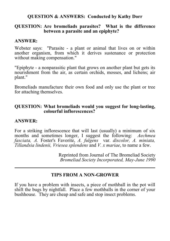#### **QUESTION & ANSWERS: Conducted by Kathy Dorr**

#### **QUESTION: Are bromeliads parasites? What is the difference between a parasite and an epiphyte?**

#### **ANSWER:**

Webster says: "Parasite - a plant or animal that lives on or within another organism, from which it derives sustenance or protection without making compensation."

"Epiphyte - a nonparasitic plant that grows on another plant but gets its nourishment from the air, as certain orchids, mosses, and lichens; air plant."

Bromeliads manufacture their own food and only use the plant or tree for attaching themselves.

#### **QUESTION: What bromeliads would you suggest for long-lasting, colourful inflorescences?**

#### **ANSWER:**

For a striking inflorescence that will last (usually) a minimum of six months and sometimes longer, I suggest the following: *Aechmea fasciata, A.* Foster's Favorite, *A. fulgens* var. *discolor, A. miniata, Tillandsia lindenii, Vriesea splendens* and *V. x mariae*, to name a few.

> Reprinted from Journal of The Bromeliad Society *Bromeliad Society Incorporated, May-June 1990*

#### **TIPS FROM A NON-GROWER**

If you have a problem with insects, a piece of mothball in the pot will shift the bugs by nightfall. Place a few mothballs in the corner of your bushhouse. They are cheap and safe and stop insect problems.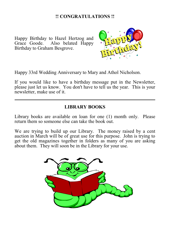#### **!! CONGRATULATIONS !!**

Happy Birthday to Hazel Hertzog and Also belated Happy Birthday to Graham Besgrove.



Happy 33rd Wedding Anniversary to Mary and Athol Nicholson.

If you would like to have a birthday message put in the Newsletter, please just let us know. You don't have to tell us the year. This is your newsletter, make use of it.

#### **LIBRARY BOOKS**

Library books are available on loan for one (1) month only. Please return them so someone else can take the book out.

We are trying to build up our Library. The money raised by a cent auction in March will be of great use for this purpose. John is trying to get the old magazines together in folders as many of you are asking about them. They will soon be in the Library for your use.

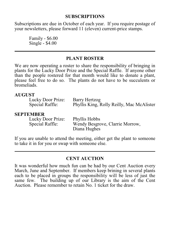#### **SUBSCRIPTIONS**

Subscriptions are due in October of each year. If you require postage of your newsletters, please forward 11 (eleven) current-price stamps.

> Family - \$6.00 Single - \$4.00

#### **PLANT ROSTER**

We are now operating a roster to share the responsibility of bringing in plants for the Lucky Door Prize and the Special Raffle. If anyone other than the people rostered for that month would like to donate a plant, please feel free to do so. The plants do not have to be succulents or bromeliads.

#### **AUGUST**

| Lucky Door Prize: | Barry Hertzog                             |
|-------------------|-------------------------------------------|
| Special Raffle:   | Phyllis King, Rolly Reilly, Mac McAlister |

#### **SEPTEMBER**

| Lucky Door Prize: | Phyllis Hobbs                   |
|-------------------|---------------------------------|
| Special Raffle:   | Wendy Besgrove, Clarrie Morrow, |
|                   | Diana Hughes                    |

If you are unable to attend the meeting, either get the plant to someone to take it in for you or swap with someone else.

#### **CENT AUCTION**

It was wonderful how much fun can be had by our Cent Auction every March, June and September. If members keep brining in several plants each to be placed in groups the responsibility will be less of just the same few. The building up of our Library is the aim of the Cent Auction. Please remember to retain No. 1 ticket for the draw.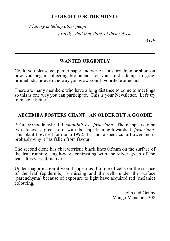#### **THOUGHT FOR THE MONTH**

*Flattery is telling other people exactly what they think of themselves.*

*WGP*

#### **WANTED URGENTLY**

Could you please get pen to paper and write us a story, long or short on how you began collecting bromeliads, or your first attempt to grow bromeliads, or even the way you grow your favourite bromeliads.

There are many members who have a long distance to come to meetings so this is one way you can participate. This is your Newsletter. Let's try to make it better.

#### **AECHMEA FOSTERS CHANT: AN OLDER BUT A GOODIE**

A Grace Goode hybrid *A. chantinii x A. fosteriana*. There appears to be two clones - a green form with its shape leaning towards *A. fosteriana*. This plant flowered for me in 1992. It is not a spectacular flower and is probably why it has fallen from favour.

The second clone has characteristic black lines 0.5mm on the surface of the leaf running length-ways contrasting with the silver green of the leaf. It is very attractive.

Under magnification it would appear as if a line of cells on the surface of the leaf (epidermis) is missing and the cells under the surface (parenchyma) because of exposure to light have acquired red (melanic) colouring.

> John and Genny Mango Mansion 4208